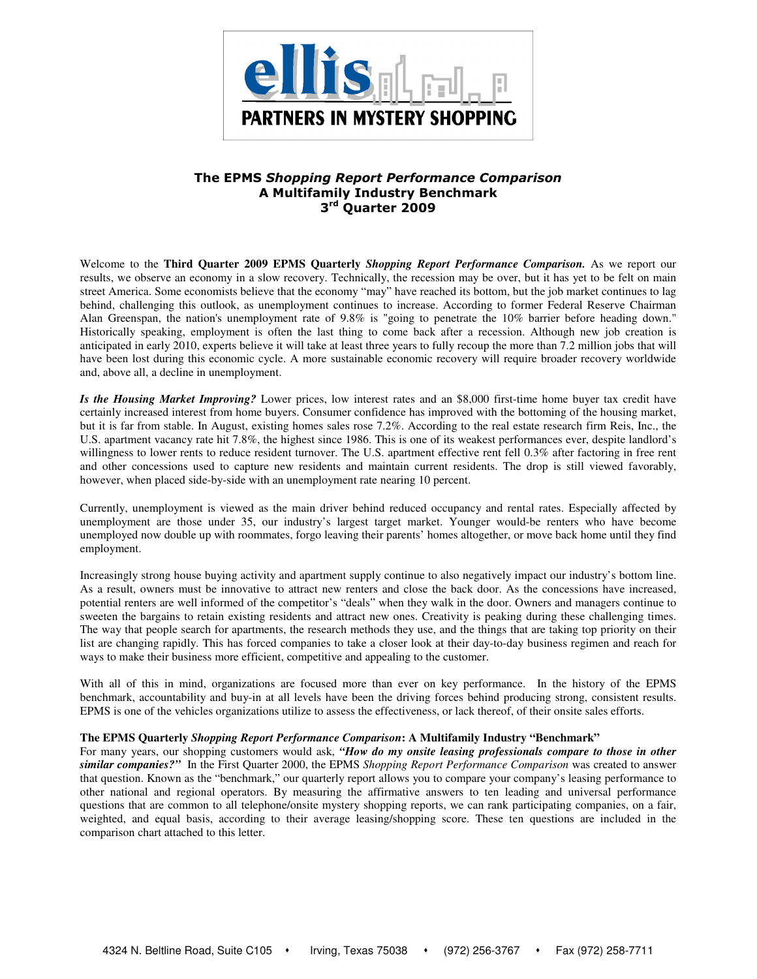

# The EPMS Shopping Report Performance Comparison A Multifamily Industry Benchmark 3<sup>rd</sup> Quarter 2009

Welcome to the **Third Quarter 2009 EPMS Quarterly** *Shopping Report Performance Comparison.* As we report our results, we observe an economy in a slow recovery. Technically, the recession may be over, but it has yet to be felt on main street America. Some economists believe that the economy "may" have reached its bottom, but the job market continues to lag behind, challenging this outlook, as unemployment continues to increase. According to former Federal Reserve Chairman Alan Greenspan, the nation's unemployment rate of 9.8% is "going to penetrate the 10% barrier before heading down." Historically speaking, employment is often the last thing to come back after a recession. Although new job creation is anticipated in early 2010, experts believe it will take at least three years to fully recoup the more than 7.2 million jobs that will have been lost during this economic cycle. A more sustainable economic recovery will require broader recovery worldwide and, above all, a decline in unemployment.

*Is the Housing Market Improving?* Lower prices, low interest rates and an \$8,000 first-time home buyer tax credit have certainly increased interest from home buyers. Consumer confidence has improved with the bottoming of the housing market, but it is far from stable. In August, existing homes sales rose 7.2%. According to the real estate research firm Reis, Inc., the U.S. apartment vacancy rate hit 7.8%, the highest since 1986. This is one of its weakest performances ever, despite landlord's willingness to lower rents to reduce resident turnover. The U.S. apartment effective rent fell 0.3% after factoring in free rent and other concessions used to capture new residents and maintain current residents. The drop is still viewed favorably, however, when placed side-by-side with an unemployment rate nearing 10 percent.

Currently, unemployment is viewed as the main driver behind reduced occupancy and rental rates. Especially affected by unemployment are those under 35, our industry's largest target market. Younger would-be renters who have become unemployed now double up with roommates, forgo leaving their parents' homes altogether, or move back home until they find employment.

Increasingly strong house buying activity and apartment supply continue to also negatively impact our industry's bottom line. As a result, owners must be innovative to attract new renters and close the back door. As the concessions have increased, potential renters are well informed of the competitor's "deals" when they walk in the door. Owners and managers continue to sweeten the bargains to retain existing residents and attract new ones. Creativity is peaking during these challenging times. The way that people search for apartments, the research methods they use, and the things that are taking top priority on their list are changing rapidly. This has forced companies to take a closer look at their day-to-day business regimen and reach for ways to make their business more efficient, competitive and appealing to the customer.

With all of this in mind, organizations are focused more than ever on key performance. In the history of the EPMS benchmark, accountability and buy-in at all levels have been the driving forces behind producing strong, consistent results. EPMS is one of the vehicles organizations utilize to assess the effectiveness, or lack thereof, of their onsite sales efforts.

## **The EPMS Quarterly** *Shopping Report Performance Comparison***: A Multifamily Industry "Benchmark"**

For many years, our shopping customers would ask, "How do my onsite leasing professionals compare to those in other *similar companies?"* In the First Quarter 2000, the EPMS *Shopping Report Performance Comparison* was created to answer that question. Known as the "benchmark," our quarterly report allows you to compare your company's leasing performance to other national and regional operators. By measuring the affirmative answers to ten leading and universal performance questions that are common to all telephone/onsite mystery shopping reports, we can rank participating companies, on a fair, weighted, and equal basis, according to their average leasing/shopping score. These ten questions are included in the comparison chart attached to this letter.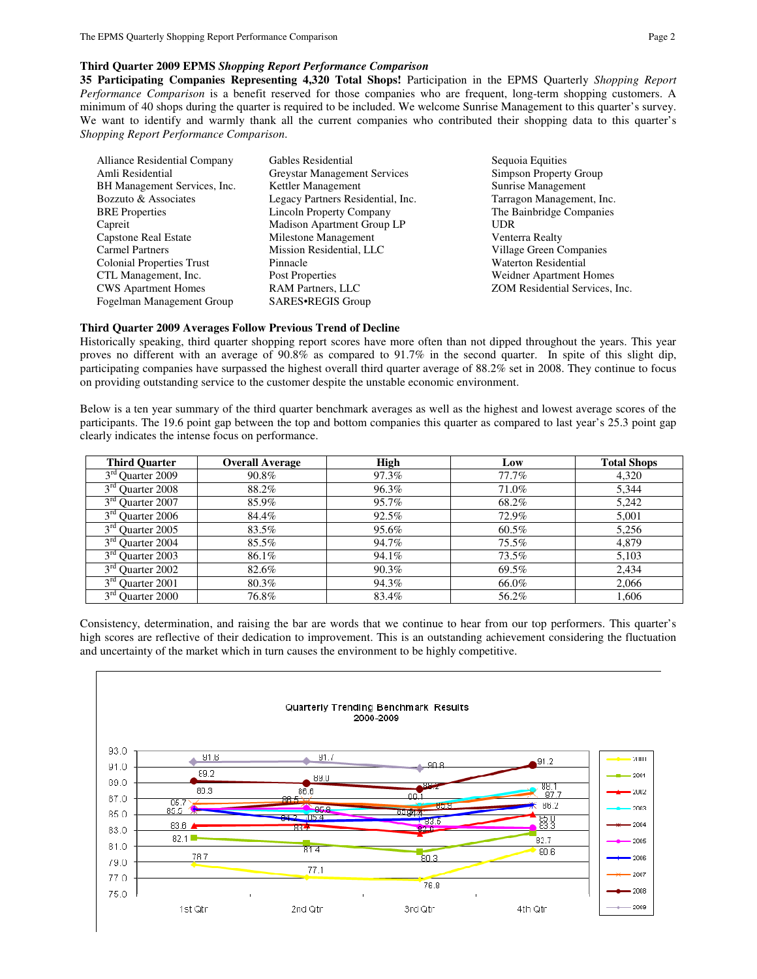### **Third Quarter 2009 EPMS** *Shopping Report Performance Comparison*

**35 Participating Companies Representing 4,320 Total Shops!** Participation in the EPMS Quarterly *Shopping Report Performance Comparison* is a benefit reserved for those companies who are frequent, long-term shopping customers. A minimum of 40 shops during the quarter is required to be included. We welcome Sunrise Management to this quarter's survey. We want to identify and warmly thank all the current companies who contributed their shopping data to this quarter's *Shopping Report Performance Comparison*.

| Alliance Residential Company     | Gables Residential                  | Sequoia Equities               |
|----------------------------------|-------------------------------------|--------------------------------|
| Amli Residential                 | <b>Greystar Management Services</b> | Simpson Property Group         |
| BH Management Services, Inc.     | Kettler Management                  | Sunrise Management             |
| Bozzuto & Associates             | Legacy Partners Residential, Inc.   | Tarragon Management, Inc.      |
| <b>BRE</b> Properties            | <b>Lincoln Property Company</b>     | The Bainbridge Companies       |
| Capreit                          | Madison Apartment Group LP          | <b>UDR</b>                     |
| Capstone Real Estate             | Milestone Management                | Venterra Realty                |
| <b>Carmel Partners</b>           | Mission Residential, LLC            | Village Green Companies        |
| <b>Colonial Properties Trust</b> | Pinnacle                            | <b>Waterton Residential</b>    |
| CTL Management, Inc.             | Post Properties                     | Weidner Apartment Homes        |
| <b>CWS</b> Apartment Homes       | <b>RAM Partners, LLC</b>            | ZOM Residential Services, Inc. |
| Fogelman Management Group        | SARES.REGIS Group                   |                                |

#### **Third Quarter 2009 Averages Follow Previous Trend of Decline**

Historically speaking, third quarter shopping report scores have more often than not dipped throughout the years. This year proves no different with an average of 90.8% as compared to 91.7% in the second quarter. In spite of this slight dip, participating companies have surpassed the highest overall third quarter average of 88.2% set in 2008. They continue to focus on providing outstanding service to the customer despite the unstable economic environment.

Below is a ten year summary of the third quarter benchmark averages as well as the highest and lowest average scores of the participants. The 19.6 point gap between the top and bottom companies this quarter as compared to last year's 25.3 point gap clearly indicates the intense focus on performance.

| <b>Third Ouarter</b>             | <b>Overall Average</b> | <b>High</b> | Low      | <b>Total Shops</b> |
|----------------------------------|------------------------|-------------|----------|--------------------|
| 3 <sup>rd</sup> Quarter 2009     | 90.8%                  | 97.3%       | $77.7\%$ | 4,320              |
| $\overline{3^{rd}}$ Quarter 2008 | 88.2%                  | 96.3%       | 71.0%    | 5,344              |
| 3 <sup>rd</sup> Quarter 2007     | 85.9%                  | 95.7%       | 68.2%    | 5,242              |
| $3rd$ Quarter 2006               | 84.4%                  | 92.5%       | 72.9%    | 5,001              |
| $3rd$ Quarter 2005               | 83.5%                  | 95.6%       | 60.5%    | 5,256              |
| 3 <sup>rd</sup> Quarter 2004     | 85.5%                  | 94.7%       | $75.5\%$ | 4,879              |
| $3rd$ Quarter 2003               | 86.1%                  | 94.1%       | 73.5%    | 5,103              |
| $3rd$ Quarter 2002               | 82.6%                  | 90.3%       | 69.5%    | 2,434              |
| $3rd$ Quarter 2001               | 80.3%                  | 94.3%       | 66.0%    | 2,066              |
| 3 <sup>rd</sup> Quarter 2000     | 76.8%                  | 83.4%       | 56.2%    | 1.606              |

Consistency, determination, and raising the bar are words that we continue to hear from our top performers. This quarter's high scores are reflective of their dedication to improvement. This is an outstanding achievement considering the fluctuation and uncertainty of the market which in turn causes the environment to be highly competitive.

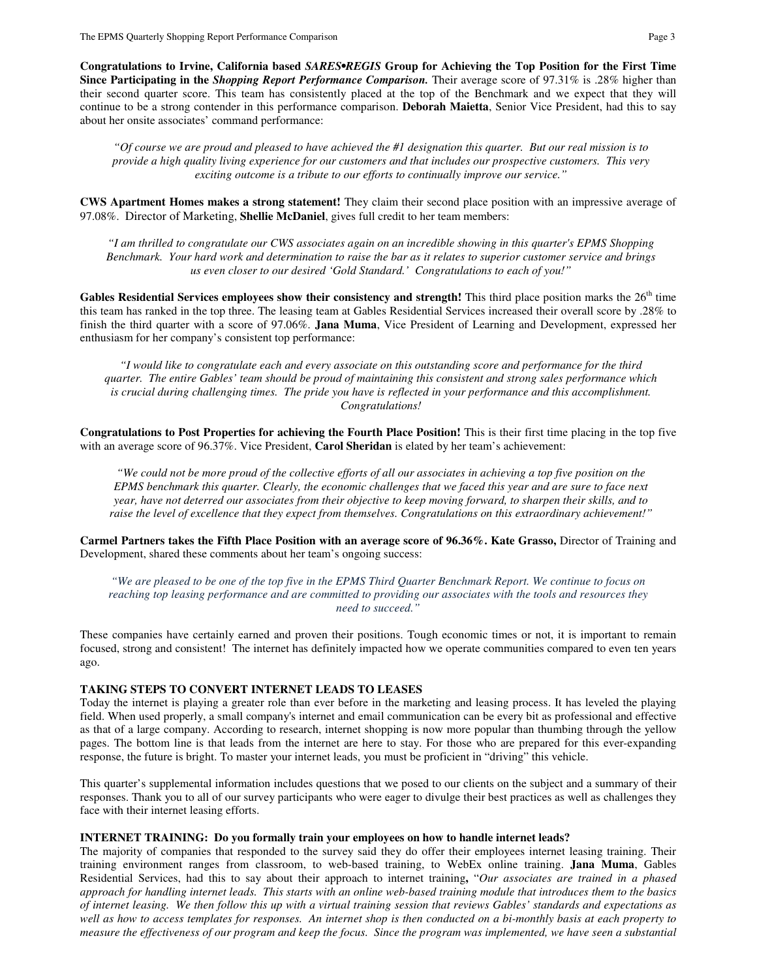**Congratulations to Irvine, California based** *SARES•REGIS* **Group for Achieving the Top Position for the First Time Since Participating in the** *Shopping Report Performance Comparison.* Their average score of 97.31% is .28% higher than their second quarter score. This team has consistently placed at the top of the Benchmark and we expect that they will continue to be a strong contender in this performance comparison. **Deborah Maietta**, Senior Vice President, had this to say about her onsite associates' command performance:

*"Of course we are proud and pleased to have achieved the #1 designation this quarter. But our real mission is to provide a high quality living experience for our customers and that includes our prospective customers. This very exciting outcome is a tribute to our efforts to continually improve our service."* 

**CWS Apartment Homes makes a strong statement!** They claim their second place position with an impressive average of 97.08%. Director of Marketing, **Shellie McDaniel**, gives full credit to her team members:

*"I am thrilled to congratulate our CWS associates again on an incredible showing in this quarter's EPMS Shopping Benchmark. Your hard work and determination to raise the bar as it relates to superior customer service and brings us even closer to our desired 'Gold Standard.' Congratulations to each of you!"* 

**Gables Residential Services employees show their consistency and strength!** This third place position marks the  $26<sup>th</sup>$  time this team has ranked in the top three. The leasing team at Gables Residential Services increased their overall score by .28% to finish the third quarter with a score of 97.06%. **Jana Muma**, Vice President of Learning and Development, expressed her enthusiasm for her company's consistent top performance:

*"I would like to congratulate each and every associate on this outstanding score and performance for the third quarter. The entire Gables' team should be proud of maintaining this consistent and strong sales performance which is crucial during challenging times. The pride you have is reflected in your performance and this accomplishment. Congratulations!* 

**Congratulations to Post Properties for achieving the Fourth Place Position!** This is their first time placing in the top five with an average score of 96.37%. Vice President, **Carol Sheridan** is elated by her team's achievement:

*"We could not be more proud of the collective efforts of all our associates in achieving a top five position on the EPMS benchmark this quarter. Clearly, the economic challenges that we faced this year and are sure to face next year, have not deterred our associates from their objective to keep moving forward, to sharpen their skills, and to raise the level of excellence that they expect from themselves. Congratulations on this extraordinary achievement!"* 

**Carmel Partners takes the Fifth Place Position with an average score of 96.36%. Kate Grasso,** Director of Training and Development, shared these comments about her team's ongoing success:

*"We are pleased to be one of the top five in the EPMS Third Quarter Benchmark Report. We continue to focus on reaching top leasing performance and are committed to providing our associates with the tools and resources they need to succeed."*

These companies have certainly earned and proven their positions. Tough economic times or not, it is important to remain focused, strong and consistent! The internet has definitely impacted how we operate communities compared to even ten years ago.

### **TAKING STEPS TO CONVERT INTERNET LEADS TO LEASES**

Today the internet is playing a greater role than ever before in the marketing and leasing process. It has leveled the playing field. When used properly, a small company's internet and email communication can be every bit as professional and effective as that of a large company. According to research, internet shopping is now more popular than thumbing through the yellow pages. The bottom line is that leads from the internet are here to stay. For those who are prepared for this ever-expanding response, the future is bright. To master your internet leads, you must be proficient in "driving" this vehicle.

This quarter's supplemental information includes questions that we posed to our clients on the subject and a summary of their responses. Thank you to all of our survey participants who were eager to divulge their best practices as well as challenges they face with their internet leasing efforts.

#### **INTERNET TRAINING: Do you formally train your employees on how to handle internet leads?**

The majority of companies that responded to the survey said they do offer their employees internet leasing training. Their training environment ranges from classroom, to web-based training, to WebEx online training. **Jana Muma**, Gables Residential Services, had this to say about their approach to internet training**,** "*Our associates are trained in a phased approach for handling internet leads. This starts with an online web-based training module that introduces them to the basics of internet leasing. We then follow this up with a virtual training session that reviews Gables' standards and expectations as well as how to access templates for responses. An internet shop is then conducted on a bi-monthly basis at each property to measure the effectiveness of our program and keep the focus. Since the program was implemented, we have seen a substantial*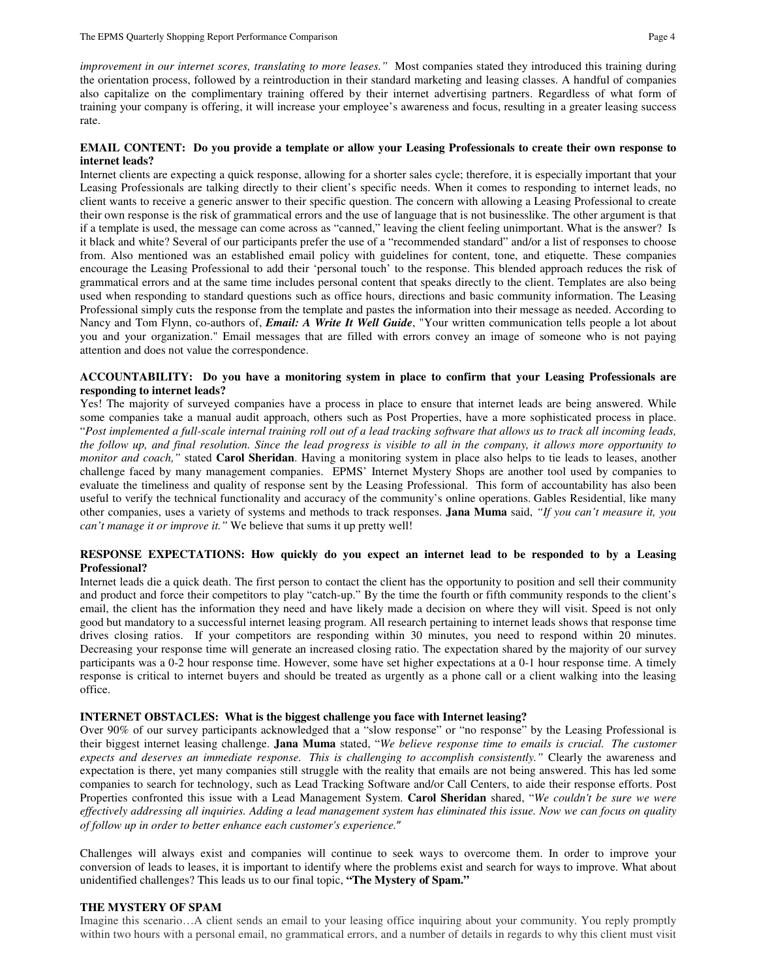*improvement in our internet scores, translating to more leases."* Most companies stated they introduced this training during the orientation process, followed by a reintroduction in their standard marketing and leasing classes. A handful of companies also capitalize on the complimentary training offered by their internet advertising partners. Regardless of what form of training your company is offering, it will increase your employee's awareness and focus, resulting in a greater leasing success rate.

### **EMAIL CONTENT: Do you provide a template or allow your Leasing Professionals to create their own response to internet leads?**

Internet clients are expecting a quick response, allowing for a shorter sales cycle; therefore, it is especially important that your Leasing Professionals are talking directly to their client's specific needs. When it comes to responding to internet leads, no client wants to receive a generic answer to their specific question. The concern with allowing a Leasing Professional to create their own response is the risk of grammatical errors and the use of language that is not businesslike. The other argument is that if a template is used, the message can come across as "canned," leaving the client feeling unimportant. What is the answer? Is it black and white? Several of our participants prefer the use of a "recommended standard" and/or a list of responses to choose from. Also mentioned was an established email policy with guidelines for content, tone, and etiquette. These companies encourage the Leasing Professional to add their 'personal touch' to the response. This blended approach reduces the risk of grammatical errors and at the same time includes personal content that speaks directly to the client. Templates are also being used when responding to standard questions such as office hours, directions and basic community information. The Leasing Professional simply cuts the response from the template and pastes the information into their message as needed. According to Nancy and Tom Flynn, co-authors of, *Email: A Write It Well Guide*, "Your written communication tells people a lot about you and your organization." Email messages that are filled with errors convey an image of someone who is not paying attention and does not value the correspondence.

#### **ACCOUNTABILITY: Do you have a monitoring system in place to confirm that your Leasing Professionals are responding to internet leads?**

Yes! The majority of surveyed companies have a process in place to ensure that internet leads are being answered. While some companies take a manual audit approach, others such as Post Properties, have a more sophisticated process in place. "*Post implemented a full-scale internal training roll out of a lead tracking software that allows us to track all incoming leads, the follow up, and final resolution. Since the lead progress is visible to all in the company, it allows more opportunity to monitor and coach,"* stated **Carol Sheridan**. Having a monitoring system in place also helps to tie leads to leases, another challenge faced by many management companies. EPMS' Internet Mystery Shops are another tool used by companies to evaluate the timeliness and quality of response sent by the Leasing Professional. This form of accountability has also been useful to verify the technical functionality and accuracy of the community's online operations. Gables Residential, like many other companies, uses a variety of systems and methods to track responses. **Jana Muma** said, *"If you can't measure it, you can't manage it or improve it."* We believe that sums it up pretty well!

#### **RESPONSE EXPECTATIONS: How quickly do you expect an internet lead to be responded to by a Leasing Professional?**

Internet leads die a quick death. The first person to contact the client has the opportunity to position and sell their community and product and force their competitors to play "catch-up." By the time the fourth or fifth community responds to the client's email, the client has the information they need and have likely made a decision on where they will visit. Speed is not only good but mandatory to a successful internet leasing program. All research pertaining to internet leads shows that response time drives closing ratios. If your competitors are responding within 30 minutes, you need to respond within 20 minutes. Decreasing your response time will generate an increased closing ratio. The expectation shared by the majority of our survey participants was a 0-2 hour response time. However, some have set higher expectations at a 0-1 hour response time. A timely response is critical to internet buyers and should be treated as urgently as a phone call or a client walking into the leasing office.

#### **INTERNET OBSTACLES: What is the biggest challenge you face with Internet leasing?**

Over 90% of our survey participants acknowledged that a "slow response" or "no response" by the Leasing Professional is their biggest internet leasing challenge. **Jana Muma** stated, "*We believe response time to emails is crucial. The customer expects and deserves an immediate response. This is challenging to accomplish consistently."* Clearly the awareness and expectation is there, yet many companies still struggle with the reality that emails are not being answered. This has led some companies to search for technology, such as Lead Tracking Software and/or Call Centers, to aide their response efforts. Post Properties confronted this issue with a Lead Management System. **Carol Sheridan** shared, "*We couldn't be sure we were effectively addressing all inquiries. Adding a lead management system has eliminated this issue. Now we can focus on quality of follow up in order to better enhance each customer's experience.*"

Challenges will always exist and companies will continue to seek ways to overcome them. In order to improve your conversion of leads to leases, it is important to identify where the problems exist and search for ways to improve. What about unidentified challenges? This leads us to our final topic, **"The Mystery of Spam."**

#### **THE MYSTERY OF SPAM**

Imagine this scenario…A client sends an email to your leasing office inquiring about your community. You reply promptly within two hours with a personal email, no grammatical errors, and a number of details in regards to why this client must visit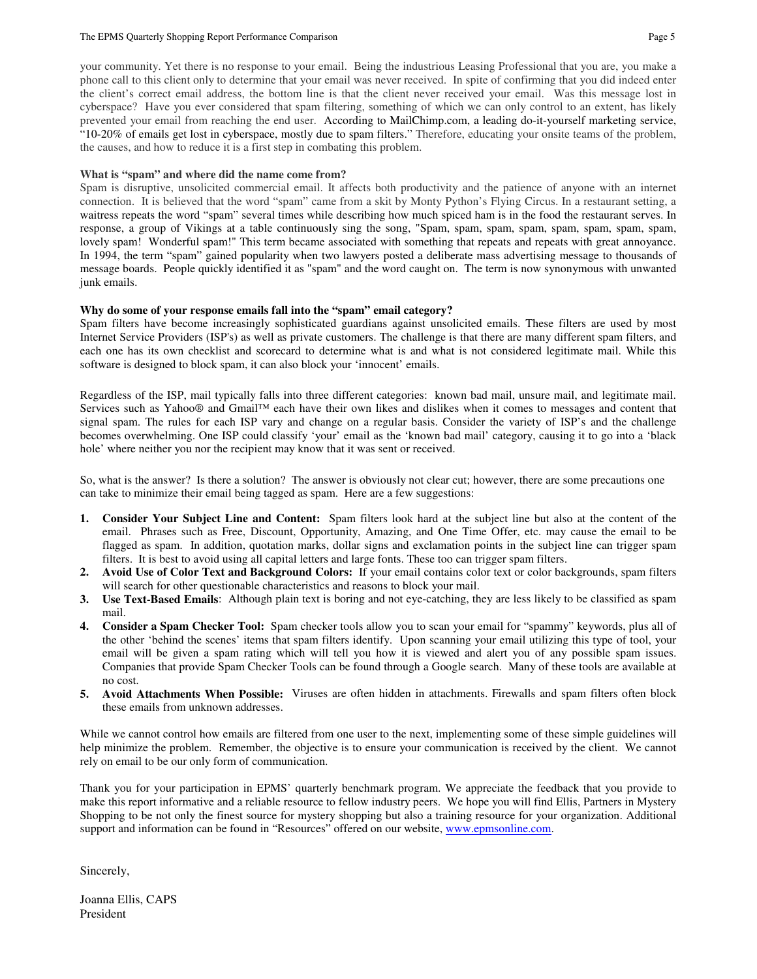#### The EPMS Quarterly Shopping Report Performance Comparison **Page 5** Page 5

your community. Yet there is no response to your email. Being the industrious Leasing Professional that you are, you make a

phone call to this client only to determine that your email was never received. In spite of confirming that you did indeed enter the client's correct email address, the bottom line is that the client never received your email. Was this message lost in cyberspace? Have you ever considered that spam filtering, something of which we can only control to an extent, has likely prevented your email from reaching the end user. According to MailChimp.com, a leading do-it-yourself marketing service, "10-20% of emails get lost in cyberspace, mostly due to spam filters." Therefore, educating your onsite teams of the problem, the causes, and how to reduce it is a first step in combating this problem.

# **What is "spam" and where did the name come from?**

Spam is disruptive, unsolicited commercial email. It affects both productivity and the patience of anyone with an internet connection. It is believed that the word "spam" came from a skit by Monty Python's Flying Circus. In a restaurant setting, a waitress repeats the word "spam" several times while describing how much spiced ham is in the food the restaurant serves. In response, a group of Vikings at a table continuously sing the song, "Spam, spam, spam, spam, spam, spam, spam, spam, lovely spam! Wonderful spam!" This term became associated with something that repeats and repeats with great annoyance. In 1994, the term "spam" gained popularity when two lawyers posted a deliberate mass advertising message to thousands of message boards. People quickly identified it as "spam" and the word caught on. The term is now synonymous with unwanted junk emails.

# **Why do some of your response emails fall into the "spam" email category?**

Spam filters have become increasingly sophisticated guardians against unsolicited emails. These filters are used by most Internet Service Providers (ISP's) as well as private customers. The challenge is that there are many different spam filters, and each one has its own checklist and scorecard to determine what is and what is not considered legitimate mail. While this software is designed to block spam, it can also block your 'innocent' emails.

Regardless of the ISP, mail typically falls into three different categories: known bad mail, unsure mail, and legitimate mail. Services such as Yahoo® and Gmail™ each have their own likes and dislikes when it comes to messages and content that signal spam. The rules for each ISP vary and change on a regular basis. Consider the variety of ISP's and the challenge becomes overwhelming. One ISP could classify 'your' email as the 'known bad mail' category, causing it to go into a 'black hole' where neither you nor the recipient may know that it was sent or received.

So, what is the answer? Is there a solution? The answer is obviously not clear cut; however, there are some precautions one can take to minimize their email being tagged as spam. Here are a few suggestions:

- **1. Consider Your Subject Line and Content:** Spam filters look hard at the subject line but also at the content of the email. Phrases such as Free, Discount, Opportunity, Amazing, and One Time Offer, etc. may cause the email to be flagged as spam. In addition, quotation marks, dollar signs and exclamation points in the subject line can trigger spam filters. It is best to avoid using all capital letters and large fonts. These too can trigger spam filters.
- **2. Avoid Use of Color Text and Background Colors:** If your email contains color text or color backgrounds, spam filters will search for other questionable characteristics and reasons to block your mail.
- **3. Use Text-Based Emails**: Although plain text is boring and not eye-catching, they are less likely to be classified as spam mail.
- **4. Consider a Spam Checker Tool:** Spam checker tools allow you to scan your email for "spammy" keywords, plus all of the other 'behind the scenes' items that spam filters identify. Upon scanning your email utilizing this type of tool, your email will be given a spam rating which will tell you how it is viewed and alert you of any possible spam issues. Companies that provide Spam Checker Tools can be found through a Google search. Many of these tools are available at no cost.
- **5. Avoid Attachments When Possible:** Viruses are often hidden in attachments. Firewalls and spam filters often block these emails from unknown addresses.

While we cannot control how emails are filtered from one user to the next, implementing some of these simple guidelines will help minimize the problem. Remember, the objective is to ensure your communication is received by the client. We cannot rely on email to be our only form of communication.

Thank you for your participation in EPMS' quarterly benchmark program. We appreciate the feedback that you provide to make this report informative and a reliable resource to fellow industry peers. We hope you will find Ellis, Partners in Mystery Shopping to be not only the finest source for mystery shopping but also a training resource for your organization. Additional support and information can be found in "Resources" offered on our website, www.epmsonline.com.

Sincerely,

Joanna Ellis, CAPS President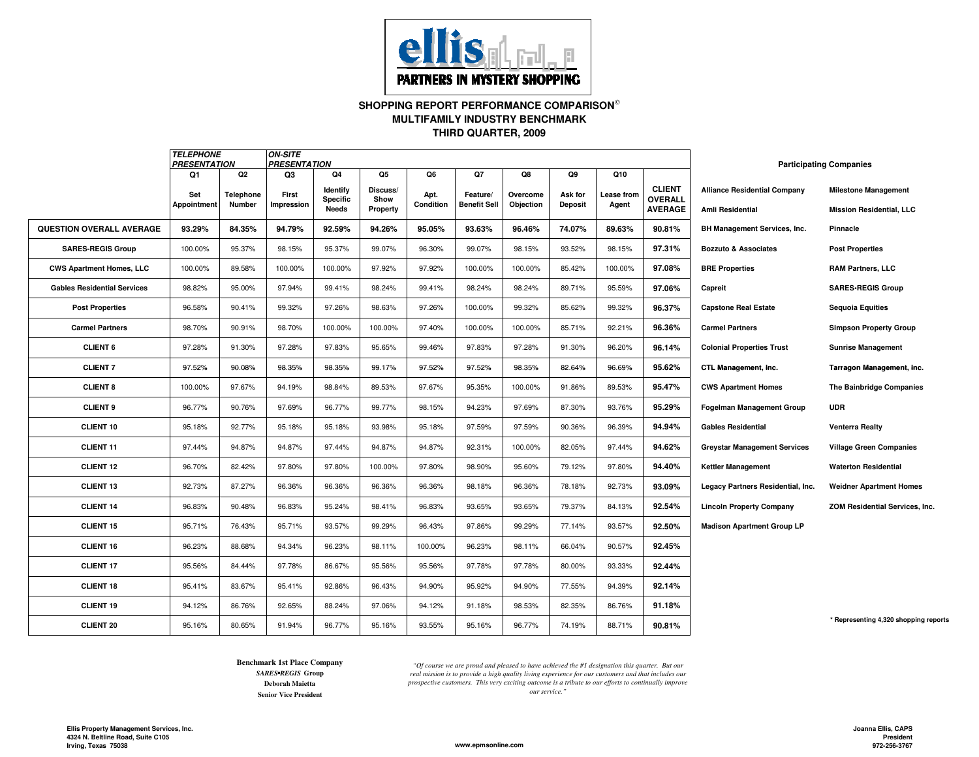

**SHOPPING REPORT PERFORMANCE COMPARISON**

**MULTIFAMILY INDUSTRY BENCHMARK**

**THIRD QUARTER, 2009**

|                                    | <b>TELEPHONE</b><br><b>PRESENTATION</b> |           | <b>ON-SITE</b><br><b>PRESENTATION</b> |                      |                  |           |                     |           |                |            |                                 | <b>Participating Companies</b>      |                                       |
|------------------------------------|-----------------------------------------|-----------|---------------------------------------|----------------------|------------------|-----------|---------------------|-----------|----------------|------------|---------------------------------|-------------------------------------|---------------------------------------|
|                                    | Q1                                      | Q2        | Q3                                    | Q4                   | Q5               | Q6        | Q7                  | Q8        | Q9             | Q10        |                                 |                                     |                                       |
|                                    | Set                                     | Telephone | First                                 | Identify<br>Specific | Discuss/<br>Show | Apt.      | Feature/            | Overcome  | Ask for        | Lease from | <b>CLIENT</b><br><b>OVERALL</b> | <b>Alliance Residential Company</b> | <b>Milestone Management</b>           |
|                                    | Appointment                             | Number    | Impression                            | <b>Needs</b>         | Property         | Condition | <b>Benefit Sell</b> | Objection | <b>Deposit</b> | Agent      | <b>AVERAGE</b>                  | Amli Residential                    | <b>Mission Residential, LLC</b>       |
| QUESTION OVERALL AVERAGE           | 93.29%                                  | 84.35%    | 94.79%                                | 92.59%               | 94.26%           | 95.05%    | 93.63%              | 96.46%    | 74.07%         | 89.63%     | 90.81%                          | BH Management Services, Inc.        | Pinnacle                              |
| <b>SARES-REGIS Group</b>           | 100.00%                                 | 95.37%    | 98.15%                                | 95.37%               | 99.07%           | 96.30%    | 99.07%              | 98.15%    | 93.52%         | 98.15%     | 97.31%                          | <b>Bozzuto &amp; Associates</b>     | <b>Post Properties</b>                |
| <b>CWS Apartment Homes, LLC</b>    | 100.00%                                 | 89.58%    | 100.00%                               | 100.00%              | 97.92%           | 97.92%    | 100.00%             | 100.00%   | 85.42%         | 100.00%    | 97.08%                          | <b>BRE Properties</b>               | <b>RAM Partners, LLC</b>              |
| <b>Gables Residential Services</b> | 98.82%                                  | 95.00%    | 97.94%                                | 99.41%               | 98.24%           | 99.41%    | 98.24%              | 98.24%    | 89.71%         | 95.59%     | 97.06%                          | Capreit                             | <b>SARES-REGIS Group</b>              |
| <b>Post Properties</b>             | 96.58%                                  | 90.41%    | 99.32%                                | 97.26%               | 98.63%           | 97.26%    | 100.00%             | 99.32%    | 85.62%         | 99.32%     | 96.37%                          | <b>Capstone Real Estate</b>         | <b>Sequoia Equities</b>               |
| <b>Carmel Partners</b>             | 98.70%                                  | 90.91%    | 98.70%                                | 100.00%              | 100.00%          | 97.40%    | 100.00%             | 100.00%   | 85.71%         | 92.21%     | 96.36%                          | <b>Carmel Partners</b>              | <b>Simpson Property Group</b>         |
| <b>CLIENT 6</b>                    | 97.28%                                  | 91.30%    | 97.28%                                | 97.83%               | 95.65%           | 99.46%    | 97.83%              | 97.28%    | 91.30%         | 96.20%     | 96.14%                          | <b>Colonial Properties Trust</b>    | <b>Sunrise Management</b>             |
| <b>CLIENT 7</b>                    | 97.52%                                  | 90.08%    | 98.35%                                | 98.35%               | 99.17%           | 97.52%    | 97.52%              | 98.35%    | 82.64%         | 96.69%     | 95.62%                          | CTL Management, Inc.                | <b>Tarragon Management, Inc.</b>      |
| <b>CLIENT 8</b>                    | 100.00%                                 | 97.67%    | 94.19%                                | 98.84%               | 89.53%           | 97.67%    | 95.35%              | 100.00%   | 91.86%         | 89.53%     | 95.47%                          | <b>CWS Apartment Homes</b>          | The Bainbridge Companies              |
| <b>CLIENT 9</b>                    | 96.77%                                  | 90.76%    | 97.69%                                | 96.77%               | 99.77%           | 98.15%    | 94.23%              | 97.69%    | 87.30%         | 93.76%     | 95.29%                          | <b>Fogelman Management Group</b>    | <b>UDR</b>                            |
| CLIENT 10                          | 95.18%                                  | 92.77%    | 95.18%                                | 95.18%               | 93.98%           | 95.18%    | 97.59%              | 97.59%    | 90.36%         | 96.39%     | 94.94%                          | <b>Gables Residential</b>           | <b>Venterra Realty</b>                |
| <b>CLIENT 11</b>                   | 97.44%                                  | 94.87%    | 94.87%                                | 97.44%               | 94.87%           | 94.87%    | 92.31%              | 100.00%   | 82.05%         | 97.44%     | 94.62%                          | <b>Greystar Management Services</b> | <b>Village Green Companies</b>        |
| <b>CLIENT 12</b>                   | 96.70%                                  | 82.42%    | 97.80%                                | 97.80%               | 100.00%          | 97.80%    | 98.90%              | 95.60%    | 79.12%         | 97.80%     | 94.40%                          | <b>Kettler Management</b>           | <b>Waterton Residential</b>           |
| <b>CLIENT 13</b>                   | 92.73%                                  | 87.27%    | 96.36%                                | 96.36%               | 96.36%           | 96.36%    | 98.18%              | 96.36%    | 78.18%         | 92.73%     | 93.09%                          | Legacy Partners Residential, Inc.   | <b>Weidner Apartment Homes</b>        |
| <b>CLIENT 14</b>                   | 96.83%                                  | 90.48%    | 96.83%                                | 95.24%               | 98.41%           | 96.83%    | 93.65%              | 93.65%    | 79.37%         | 84.13%     | 92.54%                          | <b>Lincoln Property Company</b>     | ZOM Residential Services, Inc.        |
| <b>CLIENT 15</b>                   | 95.71%                                  | 76.43%    | 95.71%                                | 93.57%               | 99.29%           | 96.43%    | 97.86%              | 99.29%    | 77.14%         | 93.57%     | 92.50%                          | <b>Madison Apartment Group LP</b>   |                                       |
| <b>CLIENT 16</b>                   | 96.23%                                  | 88.68%    | 94.34%                                | 96.23%               | 98.11%           | 100.00%   | 96.23%              | 98.11%    | 66.04%         | 90.57%     | 92.45%                          |                                     |                                       |
| <b>CLIENT 17</b>                   | 95.56%                                  | 84.44%    | 97.78%                                | 86.67%               | 95.56%           | 95.56%    | 97.78%              | 97.78%    | 80.00%         | 93.33%     | 92.44%                          |                                     |                                       |
| <b>CLIENT 18</b>                   | 95.41%                                  | 83.67%    | 95.41%                                | 92.86%               | 96.43%           | 94.90%    | 95.92%              | 94.90%    | 77.55%         | 94.39%     | 92.14%                          |                                     |                                       |
| <b>CLIENT 19</b>                   | 94.12%                                  | 86.76%    | 92.65%                                | 88.24%               | 97.06%           | 94.12%    | 91.18%              | 98.53%    | 82.35%         | 86.76%     | 91.18%                          |                                     |                                       |
| <b>CLIENT 20</b>                   | 95.16%                                  | 80.65%    | 91.94%                                | 96.77%               | 95.16%           | 93.55%    | 95.16%              | 96.77%    | 74.19%         | 88.71%     | 90.81%                          |                                     | * Representing 4,320 shopping reports |

**Benchmark 1st Place Company**

**Senior Vice President** *SARES•REGIS* **Group Deborah Maietta**

*"Of course we are proud and pleased to have achieved the #1 designation this quarter. But our real mission is to provide a high quality living experience for our customers and that includes our prospective customers. This very exciting outcome is a tribute to our efforts to continually improve our service."*